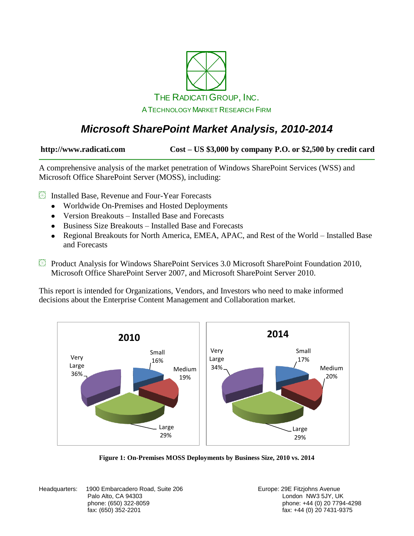

### *Microsoft SharePoint Market Analysis, 2010-2014*

**http://www.radicati.com Cost – US \$3,000 by company P.O. or \$2,500 by credit card**

A comprehensive analysis of the market penetration of Windows SharePoint Services (WSS) and Microsoft Office SharePoint Server (MOSS), including:

**Exercise** Installed Base, Revenue and Four-Year Forecasts

- Worldwide On-Premises and Hosted Deployments
- Version Breakouts Installed Base and Forecasts
- Business Size Breakouts Installed Base and Forecasts
- Regional Breakouts for North America, EMEA, APAC, and Rest of the World Installed Base and Forecasts
- Product Analysis for Windows SharePoint Services 3.0 Microsoft SharePoint Foundation 2010, Microsoft Office SharePoint Server 2007, and Microsoft SharePoint Server 2010.

This report is intended for Organizations, Vendors, and Investors who need to make informed decisions about the Enterprise Content Management and Collaboration market.



**Figure 1: On-Premises MOSS Deployments by Business Size, 2010 vs. 2014**

Headquarters: 1900 Embarcadero Road, Suite 206 **Europe: 29 Europe: 29 E** Fitzjohns Avenue Palo Alto, CA 94303 **Discretion CA 94303** London NW3 5JY, UK

phone: (650) 322-8059 phone: +44 (0) 20 7794-4298  $fax: +44(0)$  20 7431-9375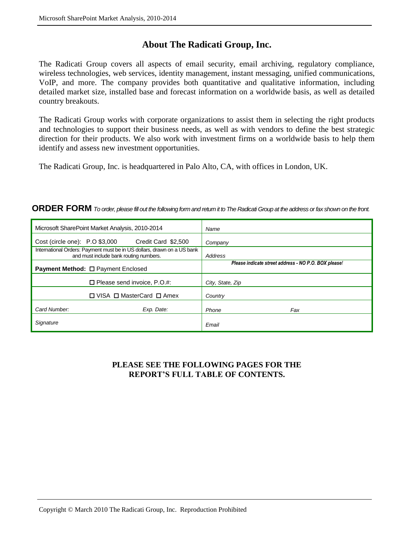### **About The Radicati Group, Inc.**

The Radicati Group covers all aspects of email security, email archiving, regulatory compliance, wireless technologies, web services, identity management, instant messaging, unified communications, VoIP, and more. The company provides both quantitative and qualitative information, including detailed market size, installed base and forecast information on a worldwide basis, as well as detailed country breakouts.

The Radicati Group works with corporate organizations to assist them in selecting the right products and technologies to support their business needs, as well as with vendors to define the best strategic direction for their products. We also work with investment firms on a worldwide basis to help them identify and assess new investment opportunities.

The Radicati Group, Inc. is headquartered in Palo Alto, CA, with offices in London, UK.

#### **ORDER FORM** *To order, please fill out the following form and return it to The Radicati Group at the address or fax shown on the front.*

| Microsoft SharePoint Market Analysis, 2010-2014                                                                   |                                           | Name                                                 |
|-------------------------------------------------------------------------------------------------------------------|-------------------------------------------|------------------------------------------------------|
| $Cost$ (circle one): $P.O$ \$3,000                                                                                | Credit Card \$2,500                       | Company                                              |
| International Orders: Payment must be in US dollars, drawn on a US bank<br>and must include bank routing numbers. |                                           | Address                                              |
| <b>Payment Method: □ Payment Enclosed</b>                                                                         |                                           | Please indicate street address - NO P.O. BOX please! |
|                                                                                                                   | $\Box$ Please send invoice, P.O.#:        | City, State, Zip                                     |
|                                                                                                                   | $\Box$ VISA $\Box$ MasterCard $\Box$ Amex | Country                                              |
| Card Number:                                                                                                      | Exp. Date:                                | Phone<br>Fax                                         |
| Signature                                                                                                         |                                           | Email                                                |

#### **PLEASE SEE THE FOLLOWING PAGES FOR THE REPORT'S FULL TABLE OF CONTENTS.**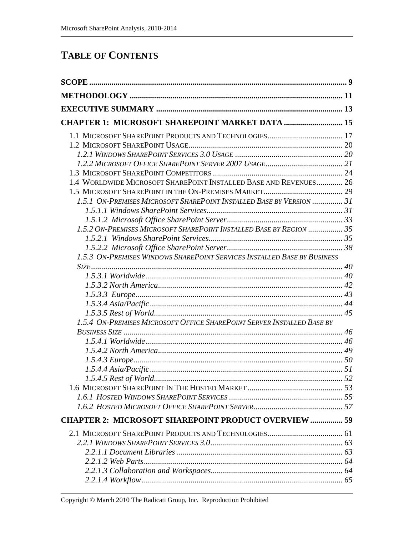### **TABLE OF CONTENTS**

| <b>CHAPTER 1: MICROSOFT SHAREPOINT MARKET DATA  15</b>                   |  |
|--------------------------------------------------------------------------|--|
|                                                                          |  |
|                                                                          |  |
|                                                                          |  |
|                                                                          |  |
|                                                                          |  |
| 1.4 WORLDWIDE MICROSOFT SHAREPOINT INSTALLED BASE AND REVENUES 26        |  |
|                                                                          |  |
| 1.5.1 ON-PREMISES MICROSOFT SHAREPOINT INSTALLED BASE BY VERSION  31     |  |
|                                                                          |  |
|                                                                          |  |
| 1.5.2 ON-PREMISES MICROSOFT SHAREPOINT INSTALLED BASE BY REGION  35      |  |
|                                                                          |  |
|                                                                          |  |
| 1.5.3 ON-PREMISES WINDOWS SHAREPOINT SERVICES INSTALLED BASE BY BUSINESS |  |
|                                                                          |  |
|                                                                          |  |
|                                                                          |  |
|                                                                          |  |
|                                                                          |  |
| 1.5.4 ON-PREMISES MICROSOFT OFFICE SHAREPOINT SERVER INSTALLED BASE BY   |  |
|                                                                          |  |
|                                                                          |  |
|                                                                          |  |
|                                                                          |  |
|                                                                          |  |
|                                                                          |  |
|                                                                          |  |
|                                                                          |  |
|                                                                          |  |
| <b>CHAPTER 2: MICROSOFT SHAREPOINT PRODUCT OVERVIEW  59</b>              |  |
|                                                                          |  |
|                                                                          |  |
|                                                                          |  |
|                                                                          |  |
|                                                                          |  |
|                                                                          |  |
|                                                                          |  |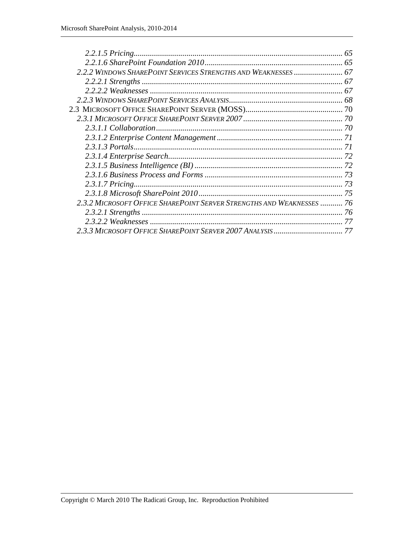| 2.2.2 WINDOWS SHAREPOINT SERVICES STRENGTHS AND WEAKNESSES  67        |  |
|-----------------------------------------------------------------------|--|
|                                                                       |  |
|                                                                       |  |
|                                                                       |  |
|                                                                       |  |
|                                                                       |  |
|                                                                       |  |
|                                                                       |  |
|                                                                       |  |
|                                                                       |  |
|                                                                       |  |
|                                                                       |  |
|                                                                       |  |
|                                                                       |  |
| 2.3.2 MICROSOFT OFFICE SHAREPOINT SERVER STRENGTHS AND WEAKNESSES  76 |  |
|                                                                       |  |
|                                                                       |  |
|                                                                       |  |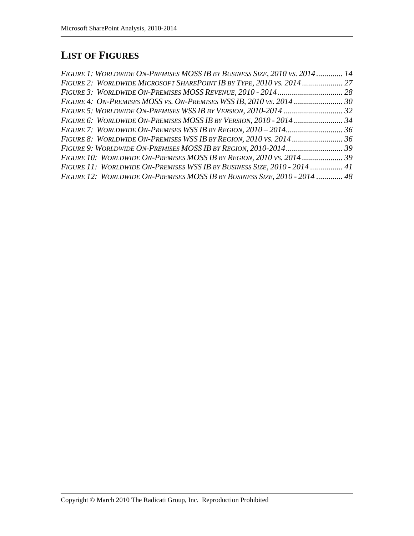# **LIST OF FIGURES**

| FIGURE 1: WORLDWIDE ON-PREMISES MOSS IB BY BUSINESS SIZE, 2010 VS. 2014  14 |  |
|-----------------------------------------------------------------------------|--|
| FIGURE 2: WORLDWIDE MICROSOFT SHAREPOINT IB BY TYPE, 2010 VS. 2014  27      |  |
|                                                                             |  |
|                                                                             |  |
|                                                                             |  |
|                                                                             |  |
|                                                                             |  |
|                                                                             |  |
|                                                                             |  |
|                                                                             |  |
| FIGURE 11: WORLDWIDE ON-PREMISES WSS IB BY BUSINESS SIZE, 2010 - 2014  41   |  |
| FIGURE 12: WORLDWIDE ON-PREMISES MOSS IB BY BUSINESS SIZE, 2010 - 2014  48  |  |